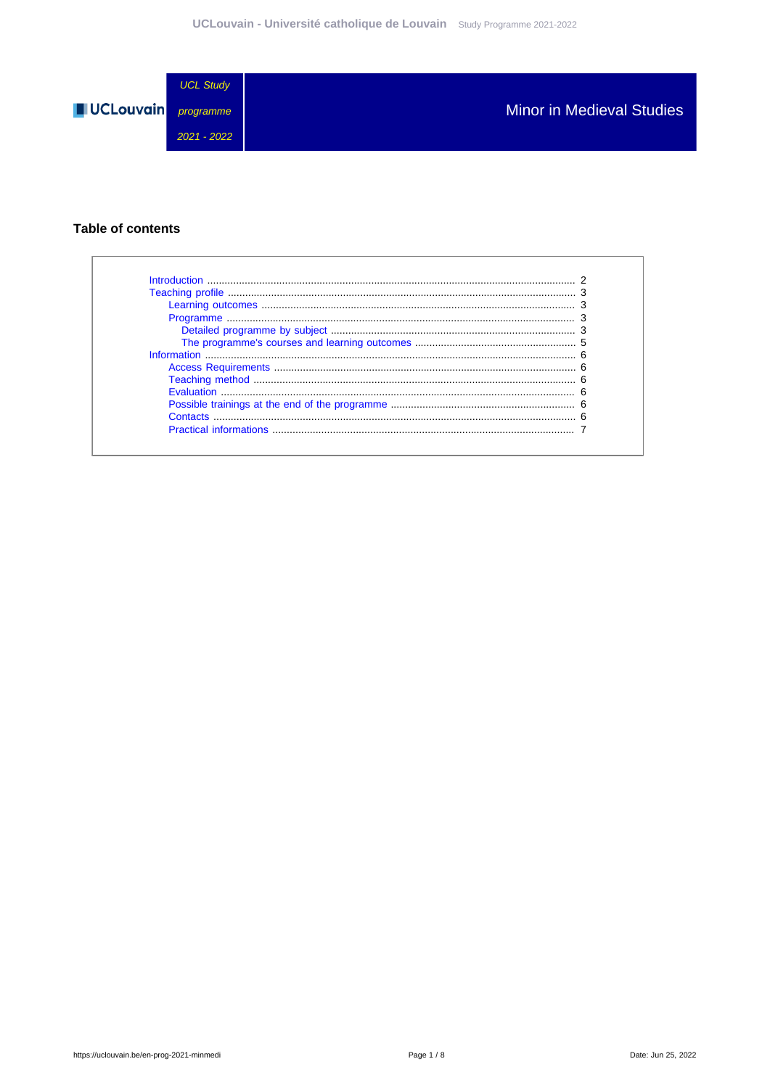

### **Table of contents**

| Contacts |  |
|----------|--|
|          |  |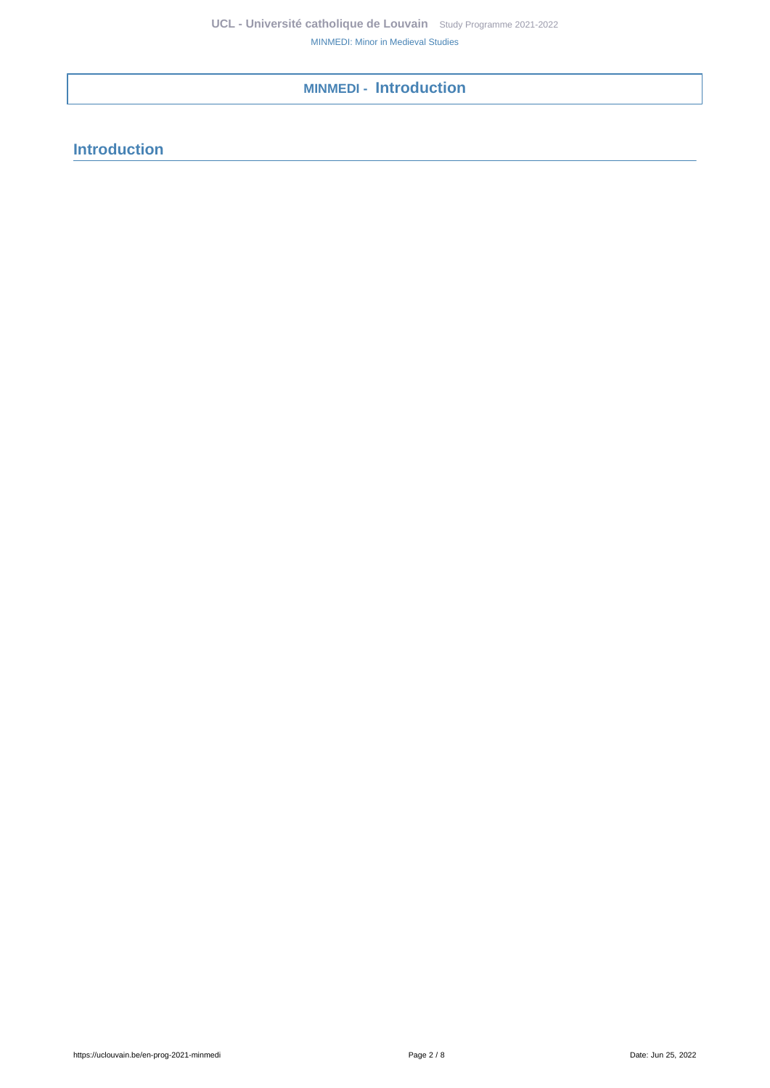# <span id="page-1-0"></span>**MINMEDI - Introduction**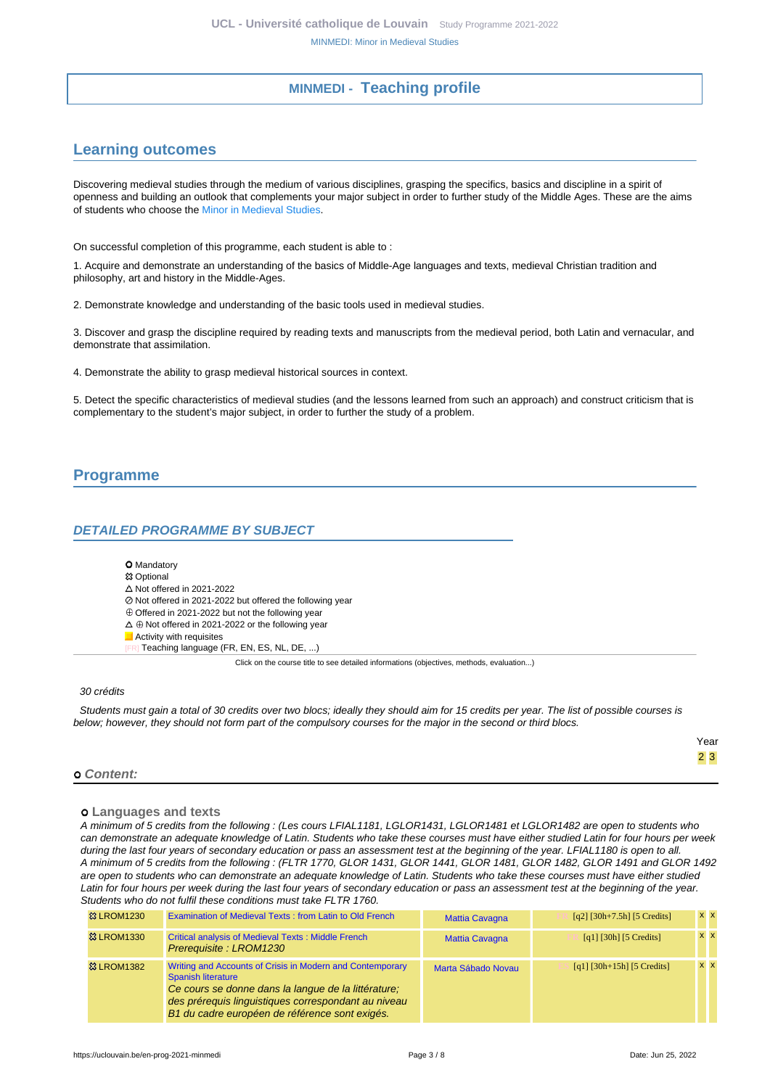# **MINMEDI - Teaching profile**

# <span id="page-2-1"></span><span id="page-2-0"></span>**Learning outcomes**

Discovering medieval studies through the medium of various disciplines, grasping the specifics, basics and discipline in a spirit of openness and building an outlook that complements your major subject in order to further study of the Middle Ages. These are the aims of students who choose the [Minor in Medieval Studies.](https://uclouvain.be/en-prog-2021-minmedi)

On successful completion of this programme, each student is able to :

1. Acquire and demonstrate an understanding of the basics of Middle-Age languages and texts, medieval Christian tradition and philosophy, art and history in the Middle-Ages.

2. Demonstrate knowledge and understanding of the basic tools used in medieval studies.

3. Discover and grasp the discipline required by reading texts and manuscripts from the medieval period, both Latin and vernacular, and demonstrate that assimilation.

4. Demonstrate the ability to grasp medieval historical sources in context.

5. Detect the specific characteristics of medieval studies (and the lessons learned from such an approach) and construct criticism that is complementary to the student's major subject, in order to further the study of a problem.

# <span id="page-2-2"></span>**Programme**

### <span id="page-2-3"></span>**DETAILED PROGRAMME BY SUBJECT**

- **O** Mandatory
- **83 Optional**
- $\triangle$  Not offered in 2021-2022
- Not offered in 2021-2022 but offered the following year
- $\oplus$  Offered in 2021-2022 but not the following year
- $\Delta \oplus$  Not offered in 2021-2022 or the following year
- **Activity with requisites** 
	- Teaching language (FR, EN, ES, NL, DE, ...)

Click on the course title to see detailed informations (objectives, methods, evaluation...)

#### 30 crédits

Students must gain a total of 30 credits over two blocs; ideally they should aim for 15 credits per year. The list of possible courses is below; however, they should not form part of the compulsory courses for the major in the second or third blocs.

#### **Content:**

#### **Languages and texts**

A minimum of 5 credits from the following : (Les cours LFIAL1181, LGLOR1431, LGLOR1481 et LGLOR1482 are open to students who can demonstrate an adequate knowledge of Latin. Students who take these courses must have either studied Latin for four hours per week during the last four years of secondary education or pass an assessment test at the beginning of the year. LFIAL1180 is open to all. A minimum of 5 credits from the following : (FLTR 1770, GLOR 1431, GLOR 1441, GLOR 1481, GLOR 1482, GLOR 1491 and GLOR 1492 are open to students who can demonstrate an adequate knowledge of Latin. Students who take these courses must have either studied Latin for four hours per week during the last four years of secondary education or pass an assessment test at the beginning of the year. Students who do not fulfil these conditions must take FLTR 1760.

| <b>&amp; LROM1230</b> | <b>Examination of Medieval Texts: from Latin to Old French</b>                                                                                                                                                                                         | <b>Mattia Cavagna</b> | $[q2]$ [30h+7.5h] [5 Credits] | $x \times$ |
|-----------------------|--------------------------------------------------------------------------------------------------------------------------------------------------------------------------------------------------------------------------------------------------------|-----------------------|-------------------------------|------------|
| <b>83 LROM1330</b>    | <b>Critical analysis of Medieval Texts: Middle French</b><br>Prerequisite: LROM1230                                                                                                                                                                    | <b>Mattia Cavagna</b> | [q1] [30h] [5 Credits]        | $x \times$ |
| <b>83 LROM1382</b>    | Writing and Accounts of Crisis in Modern and Contemporary<br><b>Spanish literature</b><br>Ce cours se donne dans la langue de la littérature;<br>des prérequis linguistiques correspondant au niveau<br>B1 du cadre européen de référence sont exigés. | Marta Sábado Novau    | $[q1] [30h+15h] [5 Credits]$  | $x \times$ |

Year 2 3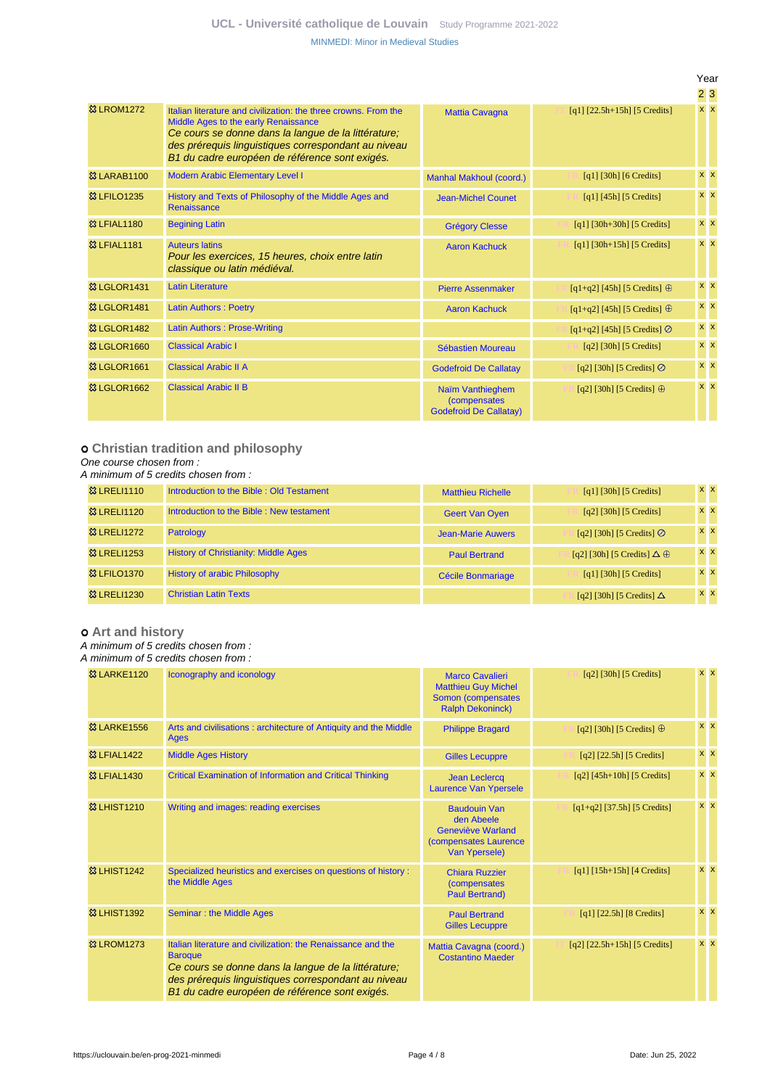|                         |                                                                                                                                                                                                                                                                         |                                                                           |                                      | ن ∠        |
|-------------------------|-------------------------------------------------------------------------------------------------------------------------------------------------------------------------------------------------------------------------------------------------------------------------|---------------------------------------------------------------------------|--------------------------------------|------------|
| <b>&amp;3 LROM1272</b>  | Italian literature and civilization: the three crowns. From the<br>Middle Ages to the early Renaissance<br>Ce cours se donne dans la langue de la littérature;<br>des prérequis linguistiques correspondant au niveau<br>B1 du cadre européen de référence sont exigés. | <b>Mattia Cavagna</b>                                                     | $[q1]$ $[22.5h+15h]$ $[5$ Credits]   | $x \times$ |
| <b>&amp; LARAB1100</b>  | <b>Modern Arabic Elementary Level I</b>                                                                                                                                                                                                                                 | Manhal Makhoul (coord.)                                                   | [q1] [30h] $[6$ Credits]             | $x \times$ |
| <b>&amp; LFILO1235</b>  | History and Texts of Philosophy of the Middle Ages and<br>Renaissance                                                                                                                                                                                                   | <b>Jean-Michel Counet</b>                                                 | $[q1]$ [45h] [5 Credits]             | $x \times$ |
| <b>&amp; LFIAL1180</b>  | <b>Begining Latin</b>                                                                                                                                                                                                                                                   | <b>Grégory Clesse</b>                                                     | $[q1]$ [30h+30h] [5 Credits]         | $x \times$ |
| <b>&amp;3 LFIAL1181</b> | <b>Auteurs latins</b><br>Pour les exercices, 15 heures, choix entre latin<br>classique ou latin médiéval.                                                                                                                                                               | Aaron Kachuck                                                             | $[q1]$ [30h+15h] [5 Credits]         | $x \times$ |
| <b>&amp; LGLOR1431</b>  | <b>Latin Literature</b>                                                                                                                                                                                                                                                 | <b>Pierre Assenmaker</b>                                                  | $[q1+q2]$ [45h] [5 Credits] $\oplus$ | $x \times$ |
| <b>&amp; LGLOR1481</b>  | <b>Latin Authors: Poetry</b>                                                                                                                                                                                                                                            | <b>Aaron Kachuck</b>                                                      | [q1+q2] [45h] [5 Credits] $\oplus$   | $x \, x$   |
| <b>&amp; LGLOR1482</b>  | <b>Latin Authors: Prose-Writing</b>                                                                                                                                                                                                                                     |                                                                           | [q1+q2] [45h] [5 Credits] $\oslash$  | $x \times$ |
| <b>&amp; LGLOR1660</b>  | <b>Classical Arabic I</b>                                                                                                                                                                                                                                               | Sébastien Moureau                                                         | $[q2]$ [30h] [5 Credits]             | $x \times$ |
| <b>&amp; LGLOR1661</b>  | <b>Classical Arabic II A</b>                                                                                                                                                                                                                                            | <b>Godefroid De Callatay</b>                                              | [q2] [30h] [5 Credits] $\oslash$     | $x \times$ |
| <b>&amp; LGLOR1662</b>  | <b>Classical Arabic II B</b>                                                                                                                                                                                                                                            | Naïm Vanthieghem<br><i>(compensates)</i><br><b>Godefroid De Callatay)</b> | [q2] [30h] [5 Credits] $\oplus$      | $x \times$ |

## **Christian tradition and philosophy**

### One course chosen from :

A minimum of 5 credits chosen from :

| <b>&amp; LRELI1110</b>  | Introduction to the Bible: Old Testament    | <b>Matthieu Richelle</b> | $[q1]$ [30h] [5 Credits]               | $X$ $X$    |
|-------------------------|---------------------------------------------|--------------------------|----------------------------------------|------------|
| <b>&amp; LRELI1120</b>  | Introduction to the Bible: New testament    | <b>Geert Van Oyen</b>    | $\lceil q^2 \rceil$ [30h] [5 Credits]  | <b>x x</b> |
| <b>&amp; LRELI1272</b>  | Patrology                                   | <b>Jean-Marie Auwers</b> | [q2] [30h] [5 Credits] $\oslash$       | <b>x x</b> |
| <b>&amp; LRELI1253</b>  | <b>History of Christianity: Middle Ages</b> | <b>Paul Bertrand</b>     | [q2] [30h] [5 Credits] $\Delta \oplus$ | <b>x x</b> |
| <b>&amp;3 LFILO1370</b> | <b>History of arabic Philosophy</b>         | <b>Cécile Bonmariage</b> | [q1] [30h] [5 Credits]                 | $X$ $X$    |
| <b>&amp; LRELI1230</b>  | <b>Christian Latin Texts</b>                |                          | [q2] [30h] [5 Credits] $\Delta$        | $X$ $X$    |

#### **Art and history**

A minimum of 5 credits chosen from :

#### A minimum of 5 credits chosen from :

| <b>&amp; LARKE1120</b>  | Iconography and iconology                                                                                                                                                                                                                      | <b>Marco Cavalieri</b><br><b>Matthieu Guy Michel</b><br>Somon (compensates<br><b>Ralph Dekoninck)</b> | $\lceil q2 \rceil$ [30h] [5 Credits]                                 | $x \times$       |
|-------------------------|------------------------------------------------------------------------------------------------------------------------------------------------------------------------------------------------------------------------------------------------|-------------------------------------------------------------------------------------------------------|----------------------------------------------------------------------|------------------|
| <b>&amp; LARKE1556</b>  | Arts and civilisations: architecture of Antiquity and the Middle<br>Ages                                                                                                                                                                       | <b>Philippe Bragard</b>                                                                               | [q2] [30h] [5 Credits] $\oplus$                                      | $x \mid x$       |
| <b>&amp; LFIAL1422</b>  | <b>Middle Ages History</b>                                                                                                                                                                                                                     | <b>Gilles Lecuppre</b>                                                                                | $[q2]$ [22.5h] [5 Credits]                                           | $x \overline{x}$ |
| <b>&amp;3 LFIAL1430</b> | <b>Critical Examination of Information and Critical Thinking</b>                                                                                                                                                                               | <b>Jean Leclercq</b><br>Laurence Van Ypersele                                                         | $[q2]$ [45h+10h] [5 Credits]                                         | $x \times$       |
| <b>&amp;3 LHIST1210</b> | Writing and images: reading exercises                                                                                                                                                                                                          | <b>Baudouin Van</b><br>den Abeele<br>Geneviève Warland<br>(compensates Laurence<br>Van Ypersele)      | $[q1+q2]$ [37.5h] [5 Credits]                                        | $x \times$       |
| <b>&amp; LHIST1242</b>  | Specialized heuristics and exercises on questions of history :<br>the Middle Ages                                                                                                                                                              | <b>Chiara Ruzzier</b><br><i>(compensates)</i><br><b>Paul Bertrand)</b>                                | $\lceil q_1 \rceil \lceil 15h + 15h \rceil \lceil 4 \right]$ Credits | $x \times$       |
| <b>&amp; LHIST1392</b>  | Seminar: the Middle Ages                                                                                                                                                                                                                       | <b>Paul Bertrand</b><br><b>Gilles Lecuppre</b>                                                        | $[q1]$ [22.5h] [8 Credits]                                           | $x \mid x$       |
| <b>&amp; LROM1273</b>   | Italian literature and civilization: the Renaissance and the<br><b>Baroque</b><br>Ce cours se donne dans la langue de la littérature;<br>des prérequis linguistiques correspondant au niveau<br>B1 du cadre européen de référence sont exigés. | Mattia Cavagna (coord.)<br><b>Costantino Maeder</b>                                                   | $[q2]$ $[22.5h+15h]$ [5 Credits]                                     | $x \times$       |

Year  $2<sup>2</sup>$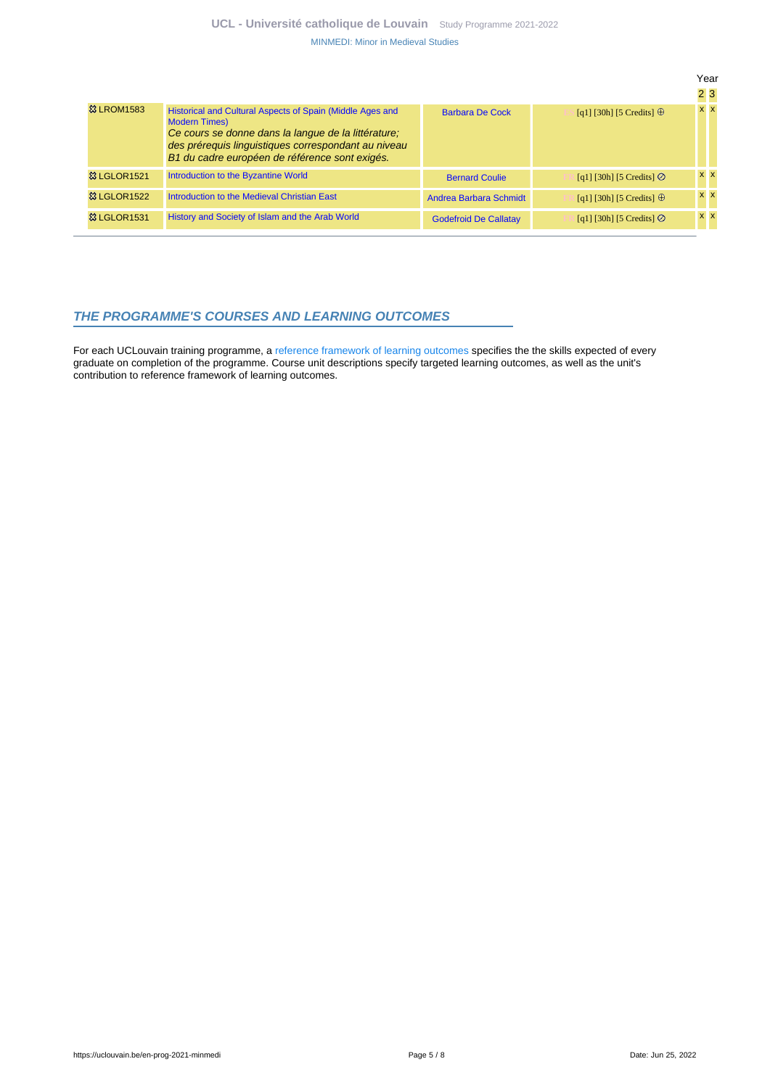|                        |                                                                                                                                                                                                                                                   |                              |                                  | Year |                |
|------------------------|---------------------------------------------------------------------------------------------------------------------------------------------------------------------------------------------------------------------------------------------------|------------------------------|----------------------------------|------|----------------|
|                        |                                                                                                                                                                                                                                                   |                              |                                  | 23   |                |
| <b>83 LROM1583</b>     | Historical and Cultural Aspects of Spain (Middle Ages and<br><b>Modern Times)</b><br>Ce cours se donne dans la langue de la littérature;<br>des prérequis linguistiques correspondant au niveau<br>B1 du cadre européen de référence sont exigés. | <b>Barbara De Cock</b>       | [q1] [30h] [5 Credits] $\oplus$  |      | $x \times$     |
| <b>83 LGLOR1521</b>    | Introduction to the Byzantine World                                                                                                                                                                                                               | <b>Bernard Coulie</b>        | [q1] [30h] [5 Credits] $\oslash$ |      | $x \mathbf{X}$ |
| <b>&amp; LGLOR1522</b> | Introduction to the Medieval Christian East                                                                                                                                                                                                       | Andrea Barbara Schmidt       | [q1] [30h] [5 Credits] $\oplus$  |      | $x \times$     |
| <b>&amp; LGLOR1531</b> | History and Society of Islam and the Arab World                                                                                                                                                                                                   | <b>Godefroid De Callatay</b> | [q1] [30h] [5 Credits] $\odot$   |      | $x \times$     |

### <span id="page-4-0"></span>**THE PROGRAMME'S COURSES AND LEARNING OUTCOMES**

For each UCLouvain training programme, a [reference framework of learning outcomes](https://uclouvain.be/en-prog-2021-minmedi-competences_et_acquis.html) specifies the the skills expected of every graduate on completion of the programme. Course unit descriptions specify targeted learning outcomes, as well as the unit's contribution to reference framework of learning outcomes.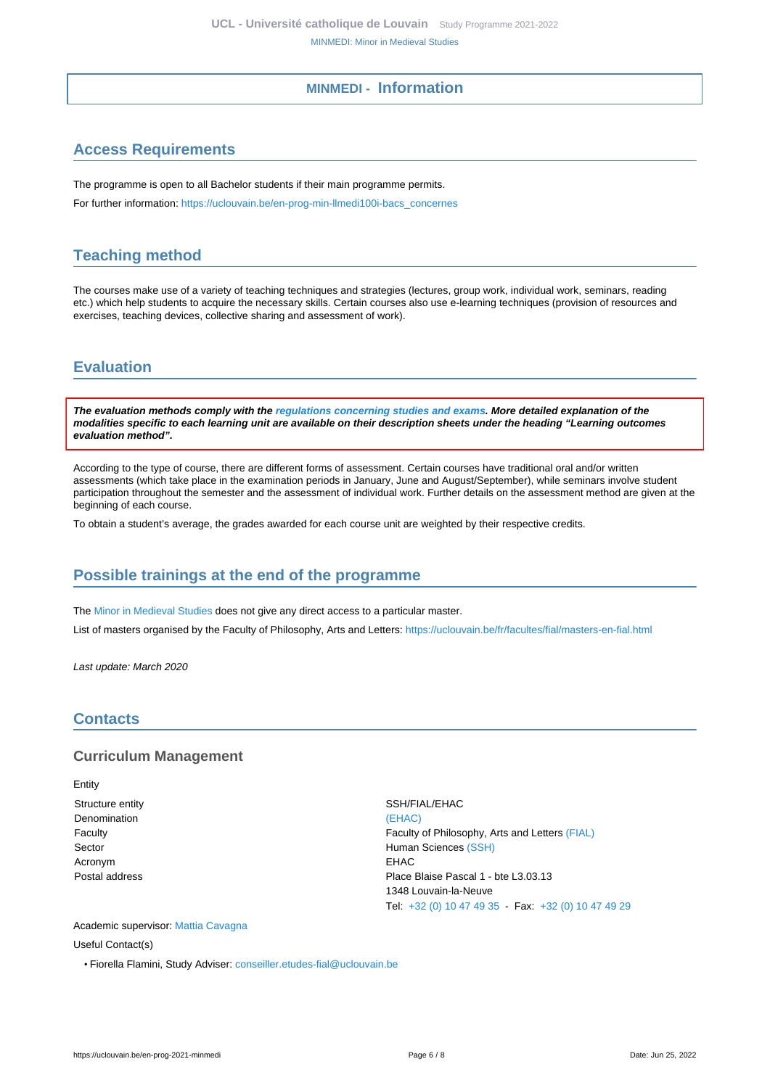## **MINMEDI - Information**

# <span id="page-5-1"></span><span id="page-5-0"></span>**Access Requirements**

The programme is open to all Bachelor students if their main programme permits.

For further information: [https://uclouvain.be/en-prog-min-llmedi100i-bacs\\_concernes](https://uclouvain.be/en-prog-min-llmedi100i-bacs_concernes)

# <span id="page-5-2"></span>**Teaching method**

The courses make use of a variety of teaching techniques and strategies (lectures, group work, individual work, seminars, reading etc.) which help students to acquire the necessary skills. Certain courses also use e-learning techniques (provision of resources and exercises, teaching devices, collective sharing and assessment of work).

# <span id="page-5-3"></span>**Evaluation**

**The evaluation methods comply with the [regulations concerning studies and exams](https://uclouvain.be/fr/decouvrir/rgee.html). More detailed explanation of the modalities specific to each learning unit are available on their description sheets under the heading "Learning outcomes evaluation method".**

According to the type of course, there are different forms of assessment. Certain courses have traditional oral and/or written assessments (which take place in the examination periods in January, June and August/September), while seminars involve student participation throughout the semester and the assessment of individual work. Further details on the assessment method are given at the beginning of each course.

To obtain a student's average, the grades awarded for each course unit are weighted by their respective credits.

# <span id="page-5-4"></span>**Possible trainings at the end of the programme**

The [Minor in Medieval Studies](https://uclouvain.be/en-prog-2021-minmedi) does not give any direct access to a particular master.

List of masters organised by the Faculty of Philosophy, Arts and Letters: <https://uclouvain.be/fr/facultes/fial/masters-en-fial.html>

Last update: March 2020

## <span id="page-5-5"></span>**Contacts**

#### **Curriculum Management**

Entity

Denomination [\(EHAC\)](https://uclouvain.be/repertoires/entites/ehac) Acronym EHAC

Structure entity SSH/FIAL/EHAC Faculty **Faculty** Faculty of Philosophy, Arts and Letters [\(FIAL\)](https://uclouvain.be/repertoires/entites/fial) Sector **Sector** Sector **Human Sciences** [\(SSH\)](https://uclouvain.be/repertoires/entites/ssh) Postal address Place Blaise Pascal 1 - bte L3.03.13 1348 Louvain-la-Neuve Tel: [+32 \(0\) 10 47 49 35](https://uclouvain.be/tel:+3210474935) - Fax: [+32 \(0\) 10 47 49 29](https://uclouvain.be/tel:+3210474929)

#### Academic supervisor: [Mattia Cavagna](https://uclouvain.be/repertoires/mattia.cavagna)

Useful Contact(s)

• Fiorella Flamini, Study Adviser: [conseiller.etudes-fial@uclouvain.be](https://uclouvain.be/mailto:conseiller.etudes-fial@uclouvain.be)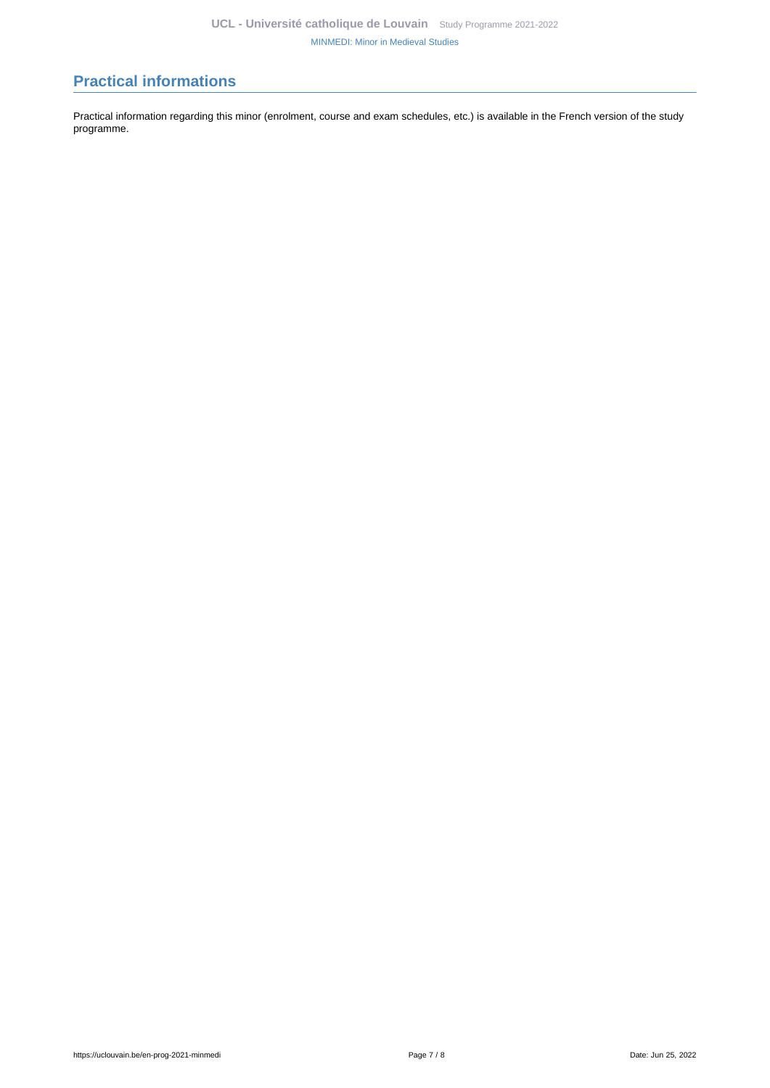# <span id="page-6-0"></span>**Practical informations**

Practical information regarding this minor (enrolment, course and exam schedules, etc.) is available in the French version of the study programme.